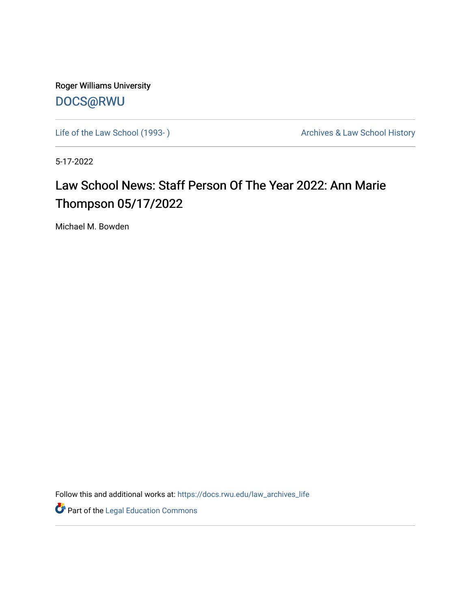Roger Williams University [DOCS@RWU](https://docs.rwu.edu/)

Life of the Law School (1993-) <br>
Archives & Law School History

5-17-2022

## Law School News: Staff Person Of The Year 2022: Ann Marie Thompson 05/17/2022

Michael M. Bowden

Follow this and additional works at: [https://docs.rwu.edu/law\\_archives\\_life](https://docs.rwu.edu/law_archives_life?utm_source=docs.rwu.edu%2Flaw_archives_life%2F782&utm_medium=PDF&utm_campaign=PDFCoverPages)

**Part of the Legal Education Commons**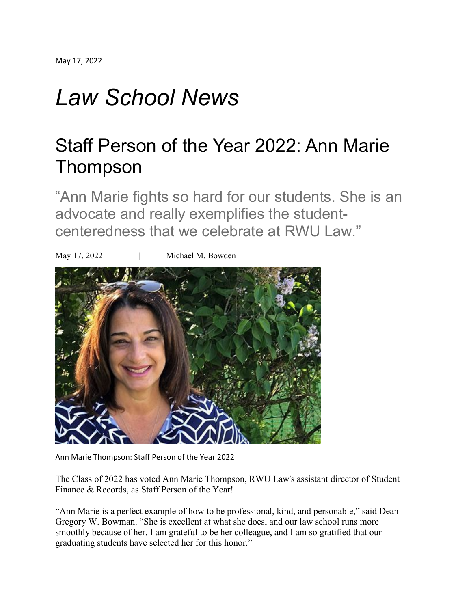## *Law School News*

## Staff Person of the Year 2022: Ann Marie Thompson

"Ann Marie fights so hard for our students. She is an advocate and really exemplifies the studentcenteredness that we celebrate at RWU Law."



Ann Marie Thompson: Staff Person of the Year 2022

The Class of 2022 has voted Ann Marie Thompson, RWU Law's assistant director of Student Finance & Records, as Staff Person of the Year!

"Ann Marie is a perfect example of how to be professional, kind, and personable," said Dean Gregory W. Bowman. "She is excellent at what she does, and our law school runs more smoothly because of her. I am grateful to be her colleague, and I am so gratified that our graduating students have selected her for this honor."